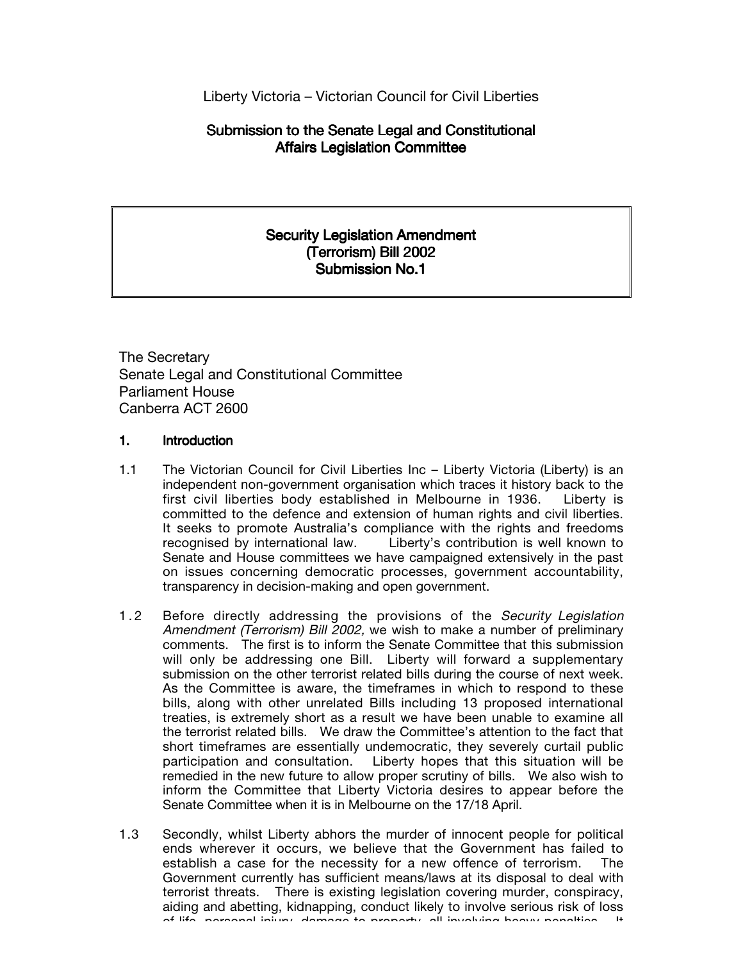Liberty Victoria – Victorian Council for Civil Liberties

# Submission to the Senate Legal and Constitutional Affairs Legislation Committee

## Security Legislation Amendment (Terrorism) Bill 2002 Submission No.1

The Secretary Senate Legal and Constitutional Committee Parliament House Canberra ACT 2600

### 1. Introduction

- 1.1 The Victorian Council for Civil Liberties Inc Liberty Victoria (Liberty) is an independent non-government organisation which traces it history back to the first civil liberties body established in Melbourne in 1936. Liberty is committed to the defence and extension of human rights and civil liberties. It seeks to promote Australia's compliance with the rights and freedoms recognised by international law. Liberty's contribution is well known to Senate and House committees we have campaigned extensively in the past on issues concerning democratic processes, government accountability, transparency in decision-making and open government.
- 1.2 Before directly addressing the provisions of the Security Legislation Amendment (Terrorism) Bill 2002, we wish to make a number of preliminary comments. The first is to inform the Senate Committee that this submission will only be addressing one Bill. Liberty will forward a supplementary submission on the other terrorist related bills during the course of next week. As the Committee is aware, the timeframes in which to respond to these bills, along with other unrelated Bills including 13 proposed international treaties, is extremely short as a result we have been unable to examine all the terrorist related bills. We draw the Committee's attention to the fact that short timeframes are essentially undemocratic, they severely curtail public participation and consultation. Liberty hopes that this situation will be remedied in the new future to allow proper scrutiny of bills. We also wish to inform the Committee that Liberty Victoria desires to appear before the Senate Committee when it is in Melbourne on the 17/18 April.
- 1.3 Secondly, whilst Liberty abhors the murder of innocent people for political ends wherever it occurs, we believe that the Government has failed to establish a case for the necessity for a new offence of terrorism. The Government currently has sufficient means/laws at its disposal to deal with terrorist threats. There is existing legislation covering murder, conspiracy, aiding and abetting, kidnapping, conduct likely to involve serious risk of loss of life ingresonal injury damage to property all involving heavy penalties.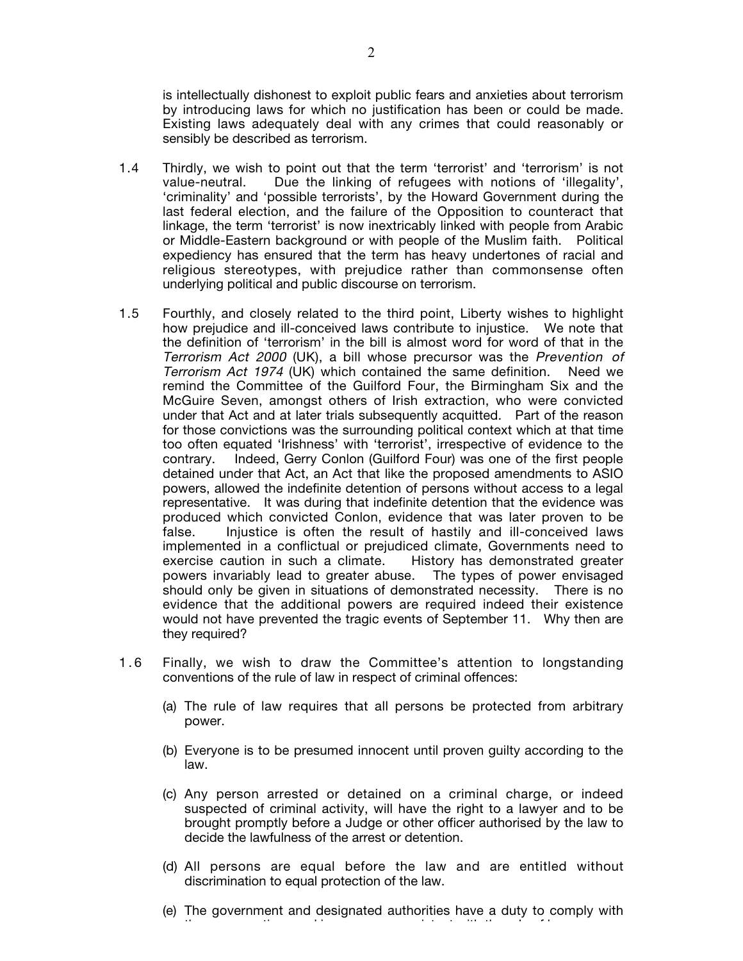is intellectually dishonest to exploit public fears and anxieties about terrorism by introducing laws for which no justification has been or could be made. Existing laws adequately deal with any crimes that could reasonably or sensibly be described as terrorism.

- 1.4 Thirdly, we wish to point out that the term 'terrorist' and 'terrorism' is not value-neutral. Due the linking of refugees with notions of 'illegality', 'criminality' and 'possible terrorists', by the Howard Government during the last federal election, and the failure of the Opposition to counteract that linkage, the term 'terrorist' is now inextricably linked with people from Arabic or Middle-Eastern background or with people of the Muslim faith. Political expediency has ensured that the term has heavy undertones of racial and religious stereotypes, with prejudice rather than commonsense often underlying political and public discourse on terrorism.
- 1.5 Fourthly, and closely related to the third point, Liberty wishes to highlight how prejudice and ill-conceived laws contribute to injustice. We note that the definition of 'terrorism' in the bill is almost word for word of that in the Terrorism Act 2000 (UK), a bill whose precursor was the Prevention of Terrorism Act 1974 (UK) which contained the same definition. Need we remind the Committee of the Guilford Four, the Birmingham Six and the McGuire Seven, amongst others of Irish extraction, who were convicted under that Act and at later trials subsequently acquitted. Part of the reason for those convictions was the surrounding political context which at that time too often equated 'Irishness' with 'terrorist', irrespective of evidence to the contrary. Indeed, Gerry Conlon (Guilford Four) was one of the first people detained under that Act, an Act that like the proposed amendments to ASIO powers, allowed the indefinite detention of persons without access to a legal representative. It was during that indefinite detention that the evidence was produced which convicted Conlon, evidence that was later proven to be false. Injustice is often the result of hastily and ill-conceived laws implemented in a conflictual or prejudiced climate, Governments need to exercise caution in such a climate. History has demonstrated greater powers invariably lead to greater abuse. The types of power envisaged should only be given in situations of demonstrated necessity. There is no evidence that the additional powers are required indeed their existence would not have prevented the tragic events of September 11. Why then are they required?
- 1.6 Finally, we wish to draw the Committee's attention to longstanding conventions of the rule of law in respect of criminal offences:
	- (a) The rule of law requires that all persons be protected from arbitrary power.
	- (b) Everyone is to be presumed innocent until proven guilty according to the law.
	- (c) Any person arrested or detained on a criminal charge, or indeed suspected of criminal activity, will have the right to a lawyer and to be brought promptly before a Judge or other officer authorised by the law to decide the lawfulness of the arrest or detention.
	- (d) All persons are equal before the law and are entitled without discrimination to equal protection of the law.
	- (e) The government and designated authorities have a duty to comply with th ti d i the time that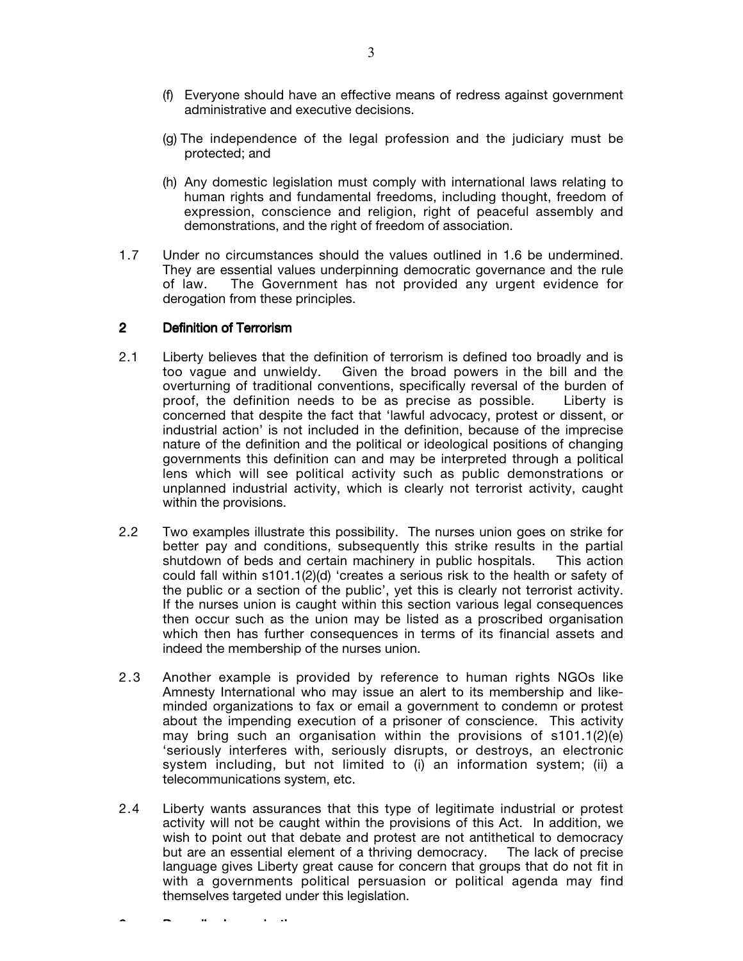- (f) Everyone should have an effective means of redress against government administrative and executive decisions.
- (g) The independence of the legal profession and the judiciary must be protected; and
- (h) Any domestic legislation must comply with international laws relating to human rights and fundamental freedoms, including thought, freedom of expression, conscience and religion, right of peaceful assembly and demonstrations, and the right of freedom of association.
- 1.7 Under no circumstances should the values outlined in 1.6 be undermined. They are essential values underpinning democratic governance and the rule of law. The Government has not provided any urgent evidence for derogation from these principles.

#### 2 Definition of Terrorism

- 2.1 Liberty believes that the definition of terrorism is defined too broadly and is too vague and unwieldy. Given the broad powers in the bill and the overturning of traditional conventions, specifically reversal of the burden of proof, the definition needs to be as precise as possible. Liberty is concerned that despite the fact that 'lawful advocacy, protest or dissent, or industrial action' is not included in the definition, because of the imprecise nature of the definition and the political or ideological positions of changing governments this definition can and may be interpreted through a political lens which will see political activity such as public demonstrations or unplanned industrial activity, which is clearly not terrorist activity, caught within the provisions.
- 2.2 Two examples illustrate this possibility. The nurses union goes on strike for better pay and conditions, subsequently this strike results in the partial shutdown of beds and certain machinery in public hospitals. This action could fall within s101.1(2)(d) 'creates a serious risk to the health or safety of the public or a section of the public', yet this is clearly not terrorist activity. If the nurses union is caught within this section various legal consequences then occur such as the union may be listed as a proscribed organisation which then has further consequences in terms of its financial assets and indeed the membership of the nurses union.
- 2.3 Another example is provided by reference to human rights NGOs like Amnesty International who may issue an alert to its membership and likeminded organizations to fax or email a government to condemn or protest about the impending execution of a prisoner of conscience. This activity may bring such an organisation within the provisions of  $s101.1(2)(e)$ 'seriously interferes with, seriously disrupts, or destroys, an electronic system including, but not limited to (i) an information system; (ii) a telecommunications system, etc.
- 2.4 Liberty wants assurances that this type of legitimate industrial or protest activity will not be caught within the provisions of this Act. In addition, we wish to point out that debate and protest are not antithetical to democracy but are an essential element of a thriving democracy. The lack of precise language gives Liberty great cause for concern that groups that do not fit in with a governments political persuasion or political agenda may find themselves targeted under this legislation.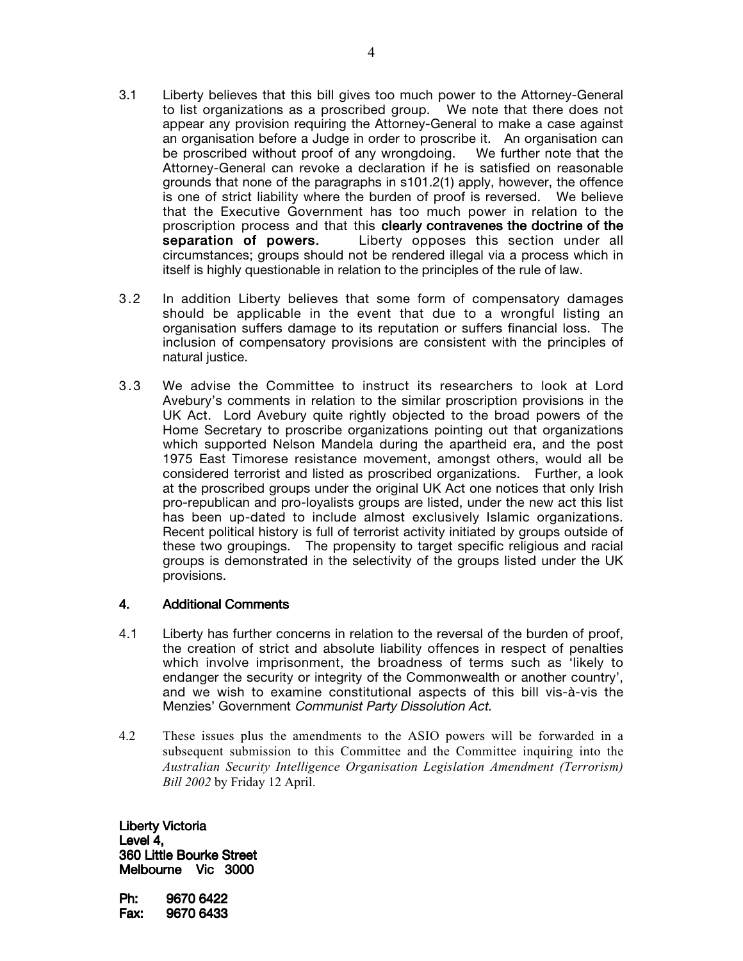- 3.1 Liberty believes that this bill gives too much power to the Attorney-General to list organizations as a proscribed group. We note that there does not appear any provision requiring the Attorney-General to make a case against an organisation before a Judge in order to proscribe it. An organisation can be proscribed without proof of any wrongdoing. We further note that the Attorney-General can revoke a declaration if he is satisfied on reasonable grounds that none of the paragraphs in s101.2(1) apply, however, the offence is one of strict liability where the burden of proof is reversed. We believe that the Executive Government has too much power in relation to the proscription process and that this **clearly contravenes the doctrine of the** separation of powers. Liberty opposes this section under all circumstances; groups should not be rendered illegal via a process which in itself is highly questionable in relation to the principles of the rule of law.
- 3.2 In addition Liberty believes that some form of compensatory damages should be applicable in the event that due to a wrongful listing an organisation suffers damage to its reputation or suffers financial loss. The inclusion of compensatory provisions are consistent with the principles of natural justice.
- 3.3 We advise the Committee to instruct its researchers to look at Lord Avebury's comments in relation to the similar proscription provisions in the UK Act. Lord Avebury quite rightly objected to the broad powers of the Home Secretary to proscribe organizations pointing out that organizations which supported Nelson Mandela during the apartheid era, and the post 1975 East Timorese resistance movement, amongst others, would all be considered terrorist and listed as proscribed organizations. Further, a look at the proscribed groups under the original UK Act one notices that only Irish pro-republican and pro-loyalists groups are listed, under the new act this list has been up-dated to include almost exclusively Islamic organizations. Recent political history is full of terrorist activity initiated by groups outside of these two groupings. The propensity to target specific religious and racial groups is demonstrated in the selectivity of the groups listed under the UK provisions.

### 4. Additional Comments

- 4.1 Liberty has further concerns in relation to the reversal of the burden of proof, the creation of strict and absolute liability offences in respect of penalties which involve imprisonment, the broadness of terms such as 'likely to endanger the security or integrity of the Commonwealth or another country', and we wish to examine constitutional aspects of this bill vis-à-vis the Menzies' Government Communist Party Dissolution Act.
- 4.2 These issues plus the amendments to the ASIO powers will be forwarded in a subsequent submission to this Committee and the Committee inquiring into the *Australian Security Intelligence Organisation Legislation Amendment (Terrorism) Bill 2002* by Friday 12 April.

Liberty Victoria Level 4, 360 Little Bourke Street Melbourne Vic 3000

Ph: 9670 6422 Fax: 9670 6433